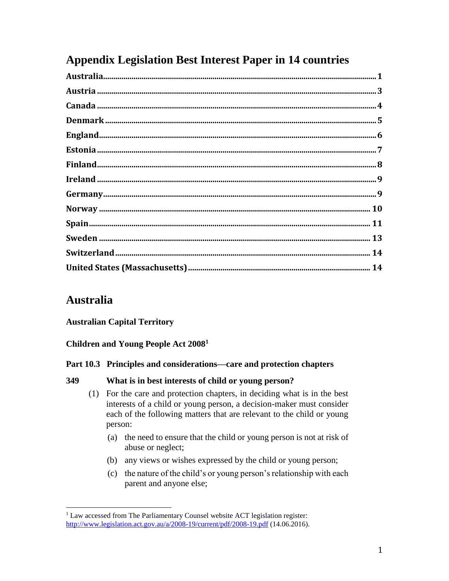# **Appendix Legislation Best Interest Paper in 14 countries**

# **Australia**

l

## **Australian Capital Territory**

## **Children and Young People Act 2008<sup>1</sup>**

### **Part 10.3 Principles and considerations—care and protection chapters**

### **349 What is in best interests of child or young person?**

- (1) For the care and protection chapters, in deciding what is in the best interests of a child or young person, a decision-maker must consider each of the following matters that are relevant to the child or young person:
	- (a) the need to ensure that the child or young person is not at risk of abuse or neglect;
	- (b) any views or wishes expressed by the child or young person;
	- (c) the nature of the child's or young person's relationship with each parent and anyone else;

<sup>&</sup>lt;sup>1</sup> Law accessed from The Parliamentary Counsel website ACT legislation register: <http://www.legislation.act.gov.au/a/2008-19/current/pdf/2008-19.pdf> (14.06.2016).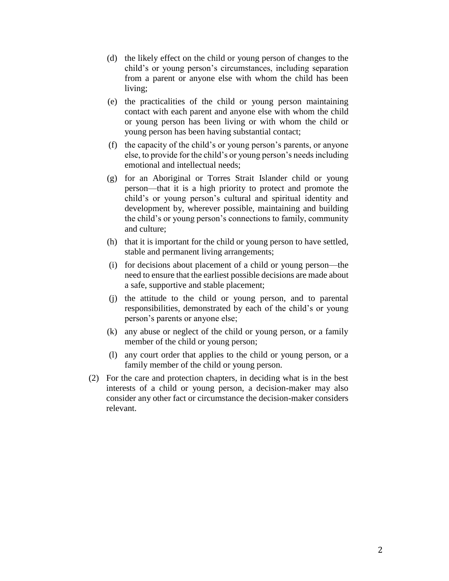- (d) the likely effect on the child or young person of changes to the child's or young person's circumstances, including separation from a parent or anyone else with whom the child has been living;
- (e) the practicalities of the child or young person maintaining contact with each parent and anyone else with whom the child or young person has been living or with whom the child or young person has been having substantial contact;
- (f) the capacity of the child's or young person's parents, or anyone else, to provide for the child's or young person's needs including emotional and intellectual needs;
- (g) for an Aboriginal or Torres Strait Islander child or young person—that it is a high priority to protect and promote the child's or young person's cultural and spiritual identity and development by, wherever possible, maintaining and building the child's or young person's connections to family, community and culture;
- (h) that it is important for the child or young person to have settled, stable and permanent living arrangements;
- (i) for decisions about placement of a child or young person—the need to ensure that the earliest possible decisions are made about a safe, supportive and stable placement;
- (j) the attitude to the child or young person, and to parental responsibilities, demonstrated by each of the child's or young person's parents or anyone else;
- (k) any abuse or neglect of the child or young person, or a family member of the child or young person;
- (l) any court order that applies to the child or young person, or a family member of the child or young person.
- (2) For the care and protection chapters, in deciding what is in the best interests of a child or young person, a decision-maker may also consider any other fact or circumstance the decision-maker considers relevant.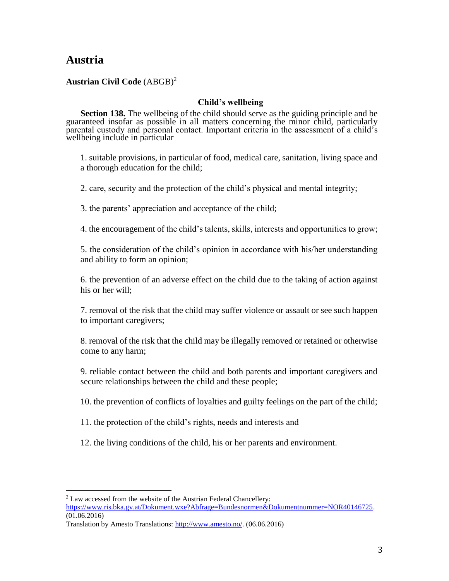# **Austria**

 $\overline{\phantom{a}}$ 

### **Austrian Civil Code** (ABGB)<sup>2</sup>

#### **Child's wellbeing**

**Section 138.** The wellbeing of the child should serve as the guiding principle and be guaranteed insofar as possible in all matters concerning the minor child, particularly parental custody and personal contact. Important criteria in the assessment of a child's wellbeing include in particular

1. suitable provisions, in particular of food, medical care, sanitation, living space and a thorough education for the child;

2. care, security and the protection of the child's physical and mental integrity;

3. the parents' appreciation and acceptance of the child;

4. the encouragement of the child's talents, skills, interests and opportunities to grow;

5. the consideration of the child's opinion in accordance with his/her understanding and ability to form an opinion;

6. the prevention of an adverse effect on the child due to the taking of action against his or her will;

7. removal of the risk that the child may suffer violence or assault or see such happen to important caregivers;

8. removal of the risk that the child may be illegally removed or retained or otherwise come to any harm;

9. reliable contact between the child and both parents and important caregivers and secure relationships between the child and these people;

10. the prevention of conflicts of loyalties and guilty feelings on the part of the child;

- 11. the protection of the child's rights, needs and interests and
- 12. the living conditions of the child, his or her parents and environment.

 $2$  Law accessed from the website of the Austrian Federal Chancellery:

[https://www.ris.bka.gv.at/Dokument.wxe?Abfrage=Bundesnormen&Dokumentnummer=NOR40146725.](https://www.ris.bka.gv.at/Dokument.wxe?Abfrage=Bundesnormen&Dokumentnummer=NOR40146725) (01.06.2016)

Translation by Amesto Translations: [http://www.amesto.no/.](http://www.amesto.no/) (06.06.2016)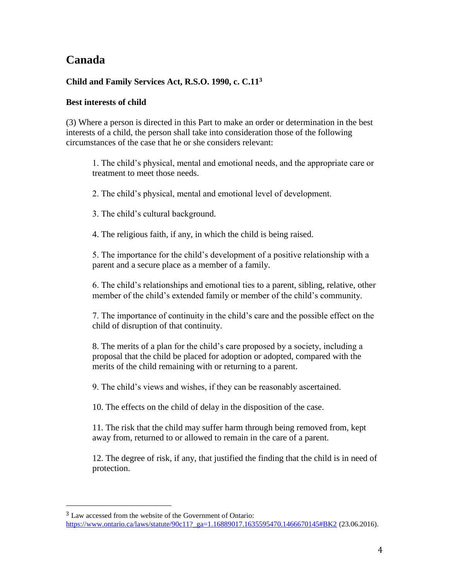# **Canada**

 $\overline{\phantom{a}}$ 

### **Child and Family Services Act, R.S.O. 1990, c. C.11<sup>3</sup>**

### **Best interests of child**

[\(3\)](http://www.ontario.ca/fr/lois/loi/90c11#s37s3) Where a person is directed in this Part to make an order or determination in the best interests of a child, the person shall take into consideration those of the following circumstances of the case that he or she considers relevant:

1. The child's physical, mental and emotional needs, and the appropriate care or treatment to meet those needs.

2. The child's physical, mental and emotional level of development.

3. The child's cultural background.

4. The religious faith, if any, in which the child is being raised.

5. The importance for the child's development of a positive relationship with a parent and a secure place as a member of a family.

6. The child's relationships and emotional ties to a parent, sibling, relative, other member of the child's extended family or member of the child's community.

7. The importance of continuity in the child's care and the possible effect on the child of disruption of that continuity.

8. The merits of a plan for the child's care proposed by a society, including a proposal that the child be placed for adoption or adopted, compared with the merits of the child remaining with or returning to a parent.

9. The child's views and wishes, if they can be reasonably ascertained.

10. The effects on the child of delay in the disposition of the case.

11. The risk that the child may suffer harm through being removed from, kept away from, returned to or allowed to remain in the care of a parent.

12. The degree of risk, if any, that justified the finding that the child is in need of protection.

<sup>&</sup>lt;sup>3</sup> Law accessed from the website of the Government of Ontario: [https://www.ontario.ca/laws/statute/90c11?\\_ga=1.16889017.1635595470.1466670145#BK2](https://www.ontario.ca/laws/statute/90c11?_ga=1.16889017.1635595470.1466670145#BK2) (23.06.2016).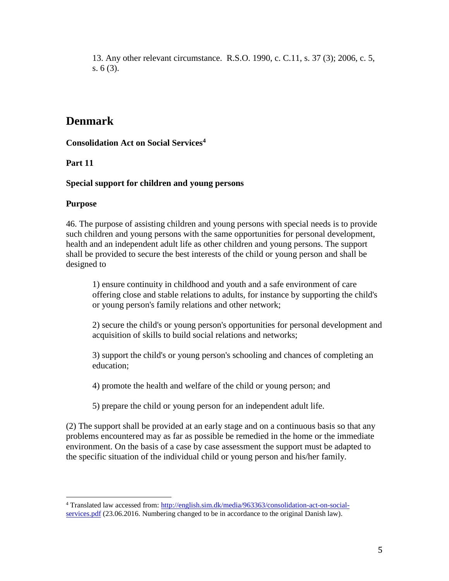13. Any other relevant circumstance. R.S.O. 1990, c. C.11, s. 37 (3); 2006, c. 5, s. 6 (3).

# **Denmark**

**Consolidation Act on Social Services<sup>4</sup>**

**Part 11** 

### **Special support for children and young persons**

### **Purpose**

 $\overline{\phantom{a}}$ 

46. The purpose of assisting children and young persons with special needs is to provide such children and young persons with the same opportunities for personal development, health and an independent adult life as other children and young persons. The support shall be provided to secure the best interests of the child or young person and shall be designed to

1) ensure continuity in childhood and youth and a safe environment of care offering close and stable relations to adults, for instance by supporting the child's or young person's family relations and other network;

2) secure the child's or young person's opportunities for personal development and acquisition of skills to build social relations and networks;

3) support the child's or young person's schooling and chances of completing an education;

4) promote the health and welfare of the child or young person; and

5) prepare the child or young person for an independent adult life.

(2) The support shall be provided at an early stage and on a continuous basis so that any problems encountered may as far as possible be remedied in the home or the immediate environment. On the basis of a case by case assessment the support must be adapted to the specific situation of the individual child or young person and his/her family.

<sup>4</sup> Translated law accessed from[: http://english.sim.dk/media/963363/consolidation-act-on-social](http://english.sim.dk/media/963363/consolidation-act-on-social-services.pdf)[services.pdf](http://english.sim.dk/media/963363/consolidation-act-on-social-services.pdf) (23.06.2016. Numbering changed to be in accordance to the original Danish law).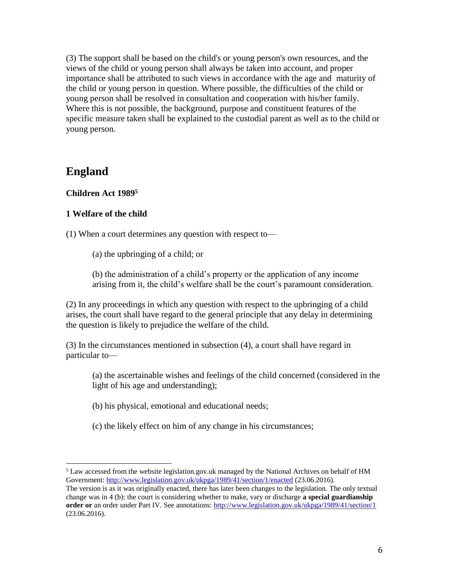(3) The support shall be based on the child's or young person's own resources, and the views of the child or young person shall always be taken into account, and proper importance shall be attributed to such views in accordance with the age and maturity of the child or young person in question. Where possible, the difficulties of the child or young person shall be resolved in consultation and cooperation with his/her family. Where this is not possible, the background, purpose and constituent features of the specific measure taken shall be explained to the custodial parent as well as to the child or young person.

## **England**

### **Children Act 1989<sup>5</sup>**

### **1 Welfare of the child**

(1) When a court determines any question with respect to—

(a) the upbringing of a child; or

(b) the administration of a child's property or the application of any income arising from it, the child's welfare shall be the court's paramount consideration.

(2) In any proceedings in which any question with respect to the upbringing of a child arises, the court shall have regard to the general principle that any delay in determining the question is likely to prejudice the welfare of the child.

(3) In the circumstances mentioned in subsection (4), a court shall have regard in particular to—

- (a) the ascertainable wishes and feelings of the child concerned (considered in the light of his age and understanding);
- (b) his physical, emotional and educational needs;
- (c) the likely effect on him of any change in his circumstances;

l  $<sup>5</sup>$  Law accessed from the website legislation.gov.uk managed by the National Archives on behalf of HM</sup> Government:<http://www.legislation.gov.uk/ukpga/1989/41/section/1/enacted> (23.06.2016).

The version is as it was originally enacted, there has later been changes to the legislation. The only textual change was in 4 (b): the court is considering whether to make, vary or discharge **a special guardianship order or** an order under Part IV. See annotations:<http://www.legislation.gov.uk/ukpga/1989/41/section/1> (23.06.2016).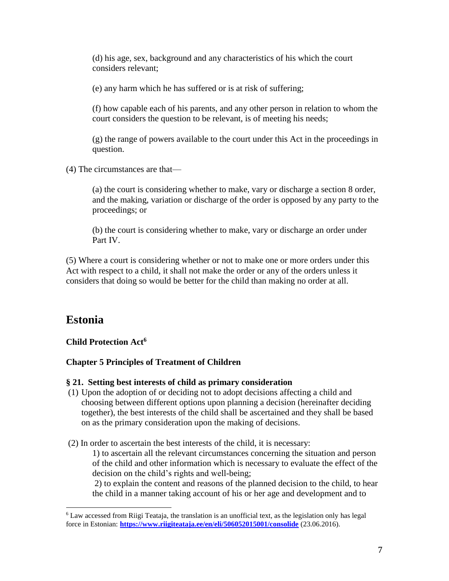(d) his age, sex, background and any characteristics of his which the court considers relevant;

(e) any harm which he has suffered or is at risk of suffering;

(f) how capable each of his parents, and any other person in relation to whom the court considers the question to be relevant, is of meeting his needs;

(g) the range of powers available to the court under this Act in the proceedings in question.

(4) The circumstances are that—

(a) the court is considering whether to make, vary or discharge a section 8 order, and the making, variation or discharge of the order is opposed by any party to the proceedings; or

(b) the court is considering whether to make, vary or discharge an order under Part IV.

(5) Where a court is considering whether or not to make one or more orders under this Act with respect to a child, it shall not make the order or any of the orders unless it considers that doing so would be better for the child than making no order at all.

# **Estonia**

l

**Child Protection Act<sup>6</sup>**

### **Chapter 5 Principles of Treatment of Children**

#### **§ 21. Setting best interests of child as primary consideration**

(1) Upon the adoption of or deciding not to adopt decisions affecting a child and choosing between different options upon planning a decision (hereinafter deciding together), the best interests of the child shall be ascertained and they shall be based on as the primary consideration upon the making of decisions.

(2) In order to ascertain the best interests of the child, it is necessary:

1) to ascertain all the relevant circumstances concerning the situation and person of the child and other information which is necessary to evaluate the effect of the decision on the child's rights and well-being;

2) to explain the content and reasons of the planned decision to the child, to hear the child in a manner taking account of his or her age and development and to

<sup>6</sup> Law accessed from Riigi Teataja, the translation is an unofficial text, as the legislation only has legal force in Estonian: **<https://www.riigiteataja.ee/en/eli/506052015001/consolide>** (23.06.2016).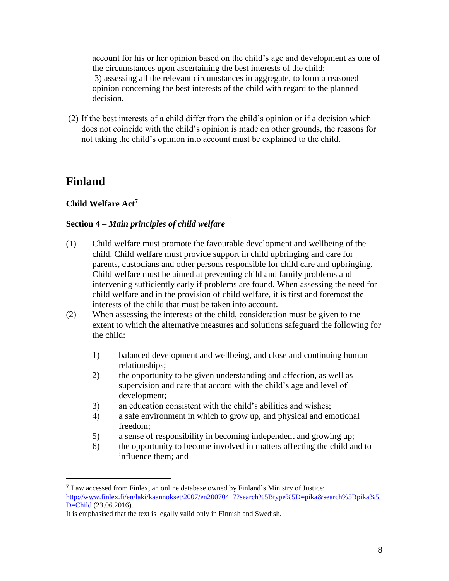account for his or her opinion based on the child's age and development as one of the circumstances upon ascertaining the best interests of the child; 3) assessing all the relevant circumstances in aggregate, to form a reasoned opinion concerning the best interests of the child with regard to the planned decision.

(2) If the best interests of a child differ from the child's opinion or if a decision which does not coincide with the child's opinion is made on other grounds, the reasons for not taking the child's opinion into account must be explained to the child.

# **Finland**

 $\overline{\phantom{a}}$ 

## **Child Welfare Act<sup>7</sup>**

## **Section 4 –** *Main principles of child welfare*

- (1) Child welfare must promote the favourable development and wellbeing of the child. Child welfare must provide support in child upbringing and care for parents, custodians and other persons responsible for child care and upbringing. Child welfare must be aimed at preventing child and family problems and intervening sufficiently early if problems are found. When assessing the need for child welfare and in the provision of child welfare, it is first and foremost the interests of the child that must be taken into account.
- (2) When assessing the interests of the child, consideration must be given to the extent to which the alternative measures and solutions safeguard the following for the child:
	- 1) balanced development and wellbeing, and close and continuing human relationships;
	- 2) the opportunity to be given understanding and affection, as well as supervision and care that accord with the child's age and level of development;
	- 3) an education consistent with the child's abilities and wishes;
	- 4) a safe environment in which to grow up, and physical and emotional freedom;
	- 5) a sense of responsibility in becoming independent and growing up;
	- 6) the opportunity to become involved in matters affecting the child and to influence them; and

<sup>7</sup> Law accessed from Finlex, an online database owned by Finland`s Ministry of Justice: [http://www.finlex.fi/en/laki/kaannokset/2007/en20070417?search%5Btype%5D=pika&search%5Bpika%5](http://www.finlex.fi/en/laki/kaannokset/2007/en20070417?search%5Btype%5D=pika&search%5Bpika%5D=Child) [D=Child](http://www.finlex.fi/en/laki/kaannokset/2007/en20070417?search%5Btype%5D=pika&search%5Bpika%5D=Child) (23.06.2016).

It is emphasised that the text is legally valid only in Finnish and Swedish.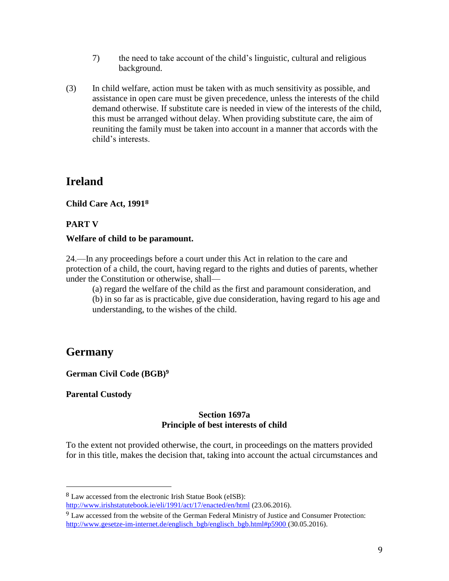- 7) the need to take account of the child's linguistic, cultural and religious background.
- (3) In child welfare, action must be taken with as much sensitivity as possible, and assistance in open care must be given precedence, unless the interests of the child demand otherwise. If substitute care is needed in view of the interests of the child, this must be arranged without delay. When providing substitute care, the aim of reuniting the family must be taken into account in a manner that accords with the child's interests.

## **Ireland**

**Child Care Act, 1991<sup>8</sup>**

## **PART V**

### **Welfare of child to be paramount.**

24.—In any proceedings before a court under this Act in relation to the care and protection of a child, the court, having regard to the rights and duties of parents, whether under the Constitution or otherwise, shall—

(a) regard the welfare of the child as the first and paramount consideration, and (b) in so far as is practicable, give due consideration, having regard to his age and understanding, to the wishes of the child.

## **Germany**

l

**German Civil Code (BGB)<sup>9</sup>**

**Parental Custody**

#### **Section 1697a Principle of best interests of child**

To the extent not provided otherwise, the court, in proceedings on the matters provided for in this title, makes the decision that, taking into account the actual circumstances and

<http://www.irishstatutebook.ie/eli/1991/act/17/enacted/en/html> (23.06.2016).

<sup>8</sup> Law accessed from the electronic Irish Statue Book (eISB):

<sup>9</sup> Law accessed from the website of the German Federal Ministry of Justice and Consumer Protection: [http://www.gesetze-im-internet.de/englisch\\_bgb/englisch\\_bgb.html#p5900](http://www.gesetze-im-internet.de/englisch_bgb/englisch_bgb.html#p5900) (30.05.2016).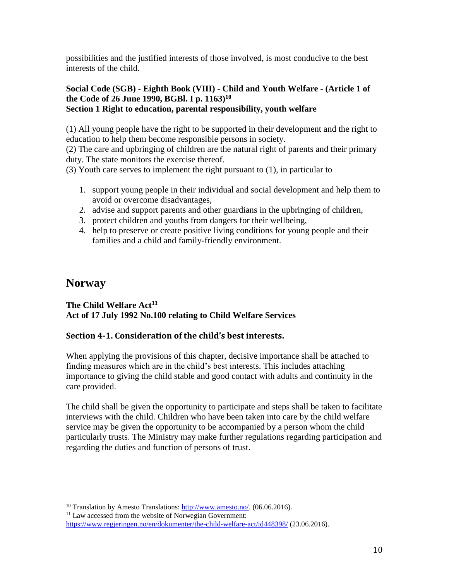possibilities and the justified interests of those involved, is most conducive to the best interests of the child.

### **Social Code (SGB) - Eighth Book (VIII) - Child and Youth Welfare - (Article 1 of the Code of 26 June 1990, BGBl. I p. 1163)<sup>10</sup> Section 1 Right to education, parental responsibility, youth welfare**

(1) All young people have the right to be supported in their development and the right to education to help them become responsible persons in society.

(2) The care and upbringing of children are the natural right of parents and their primary duty. The state monitors the exercise thereof.

(3) Youth care serves to implement the right pursuant to (1), in particular to

- 1. support young people in their individual and social development and help them to avoid or overcome disadvantages,
- 2. advise and support parents and other guardians in the upbringing of children,
- 3. protect children and youths from dangers for their wellbeing,
- 4. help to preserve or create positive living conditions for young people and their families and a child and family-friendly environment.

## **Norway**

 $\overline{\phantom{a}}$ 

### **The Child Welfare Act<sup>11</sup> Act of 17 July 1992 No.100 relating to Child Welfare Services**

## **Section 4-1. Consideration of the child's best interests.**

When applying the provisions of this chapter, decisive importance shall be attached to finding measures which are in the child's best interests. This includes attaching importance to giving the child stable and good contact with adults and continuity in the care provided.

The child shall be given the opportunity to participate and steps shall be taken to facilitate interviews with the child. Children who have been taken into care by the child welfare service may be given the opportunity to be accompanied by a person whom the child particularly trusts. The Ministry may make further regulations regarding participation and regarding the duties and function of persons of trust.

<sup>&</sup>lt;sup>10</sup> Translation by Amesto Translations: [http://www.amesto.no/.](http://www.amesto.no/) (06.06.2016).

<sup>&</sup>lt;sup>11</sup> Law accessed from the website of Norwegian Government:

<https://www.regjeringen.no/en/dokumenter/the-child-welfare-act/id448398/> (23.06.2016).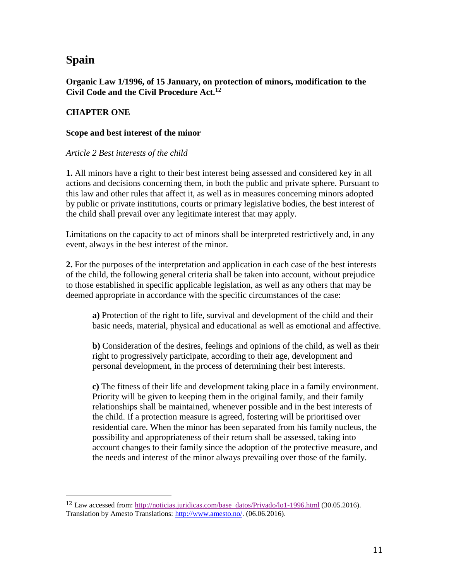# **Spain**

 $\overline{\phantom{a}}$ 

**Organic Law 1/1996, of 15 January, on protection of minors, modification to the Civil Code and the Civil Procedure Act.<sup>12</sup>**

### **CHAPTER ONE**

#### **Scope and best interest of the minor**

#### *Article 2 Best interests of the child*

**1.** All minors have a right to their best interest being assessed and considered key in all actions and decisions concerning them, in both the public and private sphere. Pursuant to this law and other rules that affect it, as well as in measures concerning minors adopted by public or private institutions, courts or primary legislative bodies, the best interest of the child shall prevail over any legitimate interest that may apply.

Limitations on the capacity to act of minors shall be interpreted restrictively and, in any event, always in the best interest of the minor.

**2.** For the purposes of the interpretation and application in each case of the best interests of the child, the following general criteria shall be taken into account, without prejudice to those established in specific applicable legislation, as well as any others that may be deemed appropriate in accordance with the specific circumstances of the case:

**a)** Protection of the right to life, survival and development of the child and their basic needs, material, physical and educational as well as emotional and affective.

**b)** Consideration of the desires, feelings and opinions of the child, as well as their right to progressively participate, according to their age, development and personal development, in the process of determining their best interests.

**c)** The fitness of their life and development taking place in a family environment. Priority will be given to keeping them in the original family, and their family relationships shall be maintained, whenever possible and in the best interests of the child. If a protection measure is agreed, fostering will be prioritised over residential care. When the minor has been separated from his family nucleus, the possibility and appropriateness of their return shall be assessed, taking into account changes to their family since the adoption of the protective measure, and the needs and interest of the minor always prevailing over those of the family.

<sup>12</sup> Law accessed from: [http://noticias.juridicas.com/base\\_datos/Privado/lo1-1996.html](https://kalender.uib.no/owa/redir.aspx?C=tgggBgVh3M68YpnwoUhMc1iH4T9Gy75-yKJYUue9HKyohmsWo4jTCA..&URL=http%3a%2f%2fnoticias.juridicas.com%2fbase_datos%2fPrivado%2flo1-1996.html) (30.05.2016). Translation by Amesto Translations: [http://www.amesto.no/.](http://www.amesto.no/) (06.06.2016).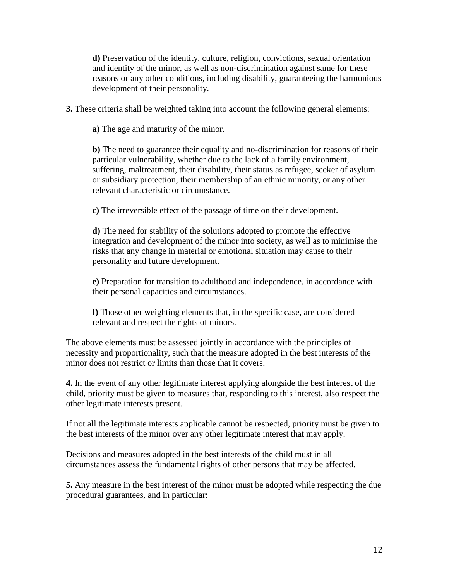**d)** Preservation of the identity, culture, religion, convictions, sexual orientation and identity of the minor, as well as non-discrimination against same for these reasons or any other conditions, including disability, guaranteeing the harmonious development of their personality.

**3.** These criteria shall be weighted taking into account the following general elements:

**a)** The age and maturity of the minor.

**b)** The need to guarantee their equality and no-discrimination for reasons of their particular vulnerability, whether due to the lack of a family environment, suffering, maltreatment, their disability, their status as refugee, seeker of asylum or subsidiary protection, their membership of an ethnic minority, or any other relevant characteristic or circumstance.

**c)** The irreversible effect of the passage of time on their development.

**d)** The need for stability of the solutions adopted to promote the effective integration and development of the minor into society, as well as to minimise the risks that any change in material or emotional situation may cause to their personality and future development.

**e)** Preparation for transition to adulthood and independence, in accordance with their personal capacities and circumstances.

**f)** Those other weighting elements that, in the specific case, are considered relevant and respect the rights of minors.

The above elements must be assessed jointly in accordance with the principles of necessity and proportionality, such that the measure adopted in the best interests of the minor does not restrict or limits than those that it covers.

**4.** In the event of any other legitimate interest applying alongside the best interest of the child, priority must be given to measures that, responding to this interest, also respect the other legitimate interests present.

If not all the legitimate interests applicable cannot be respected, priority must be given to the best interests of the minor over any other legitimate interest that may apply.

Decisions and measures adopted in the best interests of the child must in all circumstances assess the fundamental rights of other persons that may be affected.

**5.** Any measure in the best interest of the minor must be adopted while respecting the due procedural guarantees, and in particular: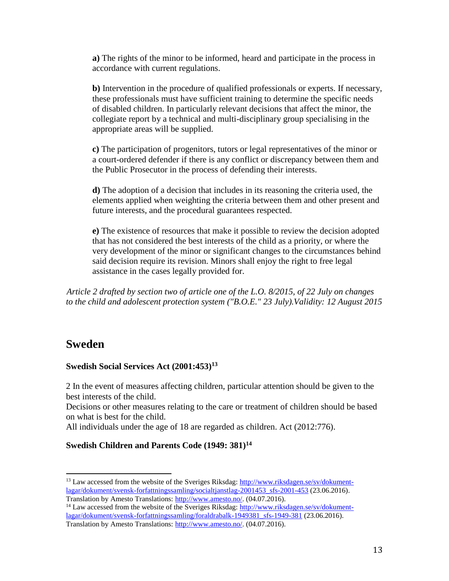**a)** The rights of the minor to be informed, heard and participate in the process in accordance with current regulations.

**b)** Intervention in the procedure of qualified professionals or experts. If necessary, these professionals must have sufficient training to determine the specific needs of disabled children. In particularly relevant decisions that affect the minor, the collegiate report by a technical and multi-disciplinary group specialising in the appropriate areas will be supplied.

**c)** The participation of progenitors, tutors or legal representatives of the minor or a court-ordered defender if there is any conflict or discrepancy between them and the Public Prosecutor in the process of defending their interests.

**d)** The adoption of a decision that includes in its reasoning the criteria used, the elements applied when weighting the criteria between them and other present and future interests, and the procedural guarantees respected.

**e)** The existence of resources that make it possible to review the decision adopted that has not considered the best interests of the child as a priority, or where the very development of the minor or significant changes to the circumstances behind said decision require its revision. Minors shall enjoy the right to free legal assistance in the cases legally provided for.

*[A](http://noticias.juridicas.com/base_datos/Privado/557001-lo-8-2015-de-22-jul-modificacion-del-sistema-de-proteccion-a-la-infancia.html#I15)rticle 2 drafted by section two of article one of the L.O. 8/2015, of 22 July on changes to the child and adolescent protection system ("B.O.E." 23 July).Validity: 12 August 2015* 

## **Sweden**

 $\overline{\phantom{a}}$ 

### **Swedish Social Services Act (2001:453)<sup>13</sup>**

2 In the event of measures affecting children, particular attention should be given to the best interests of the child.

Decisions or other measures relating to the care or treatment of children should be based on what is best for the child.

All individuals under the age of 18 are regarded as children. Act (2012:776).

## **Swedish Children and Parents Code (1949: 381)<sup>14</sup>**

<sup>&</sup>lt;sup>13</sup> Law accessed from the website of the Sveriges Riksdag: [http://www.riksdagen.se/sv/dokument](http://www.riksdagen.se/sv/dokument-lagar/dokument/svensk-forfattningssamling/socialtjanstlag-2001453_sfs-2001-453)[lagar/dokument/svensk-forfattningssamling/socialtjanstlag-2001453\\_sfs-2001-453](http://www.riksdagen.se/sv/dokument-lagar/dokument/svensk-forfattningssamling/socialtjanstlag-2001453_sfs-2001-453) (23.06.2016). Translation by Amesto Translations: [http://www.amesto.no/.](http://www.amesto.no/) (04.07.2016).

<sup>&</sup>lt;sup>14</sup> Law accessed from the website of the Sveriges Riksdag: [http://www.riksdagen.se/sv/dokument](http://www.riksdagen.se/sv/dokument-lagar/dokument/svensk-forfattningssamling/foraldrabalk-1949381_sfs-1949-381)[lagar/dokument/svensk-forfattningssamling/foraldrabalk-1949381\\_sfs-1949-381](http://www.riksdagen.se/sv/dokument-lagar/dokument/svensk-forfattningssamling/foraldrabalk-1949381_sfs-1949-381) (23.06.2016). Translation by Amesto Translations: [http://www.amesto.no/.](http://www.amesto.no/) (04.07.2016).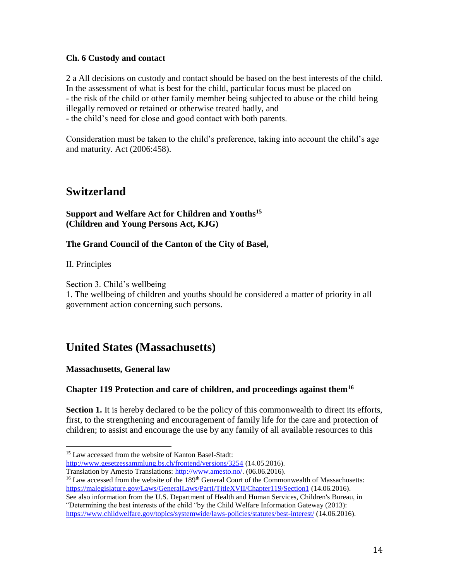### **Ch. 6 Custody and contact**

2 a All decisions on custody and contact should be based on the best interests of the child. In the assessment of what is best for the child, particular focus must be placed on - the risk of the child or other family member being subjected to abuse or the child being illegally removed or retained or otherwise treated badly, and - the child's need for close and good contact with both parents.

Consideration must be taken to the child's preference, taking into account the child's age and maturity. Act (2006:458).

## **Switzerland**

**Support and Welfare Act for Children and Youths<sup>15</sup> (Children and Young Persons Act, KJG)**

### **The Grand Council of the Canton of the City of Basel,**

II. Principles

Section 3. Child's wellbeing

1. The wellbeing of children and youths should be considered a matter of priority in all government action concerning such persons.

# **United States (Massachusetts)**

**Massachusetts, General law**

## **Chapter 119 Protection and care of children, and proceedings against them<sup>16</sup>**

**Section 1.** It is hereby declared to be the policy of this commonwealth to direct its efforts, first, to the strengthening and encouragement of family life for the care and protection of children; to assist and encourage the use by any family of all available resources to this

 $\overline{\phantom{a}}$ <sup>15</sup> Law accessed from the website of Kanton Basel-Stadt: <http://www.gesetzessammlung.bs.ch/frontend/versions/3254> (14.05.2016).

Translation by Amesto Translations: [http://www.amesto.no/.](http://www.amesto.no/) (06.06.2016).

<sup>&</sup>lt;sup>16</sup> Law accessed from the website of the 189<sup>th</sup> General Court of the Commonwealth of Massachusetts: <https://malegislature.gov/Laws/GeneralLaws/PartI/TitleXVII/Chapter119/Section1> (14.06.2016). See also information from the U.S. Department of Health and Human Services, Children's Bureau, in "Determining the best interests of the child "by the Child Welfare Information Gateway (2013):

<https://www.childwelfare.gov/topics/systemwide/laws-policies/statutes/best-interest/> (14.06.2016).